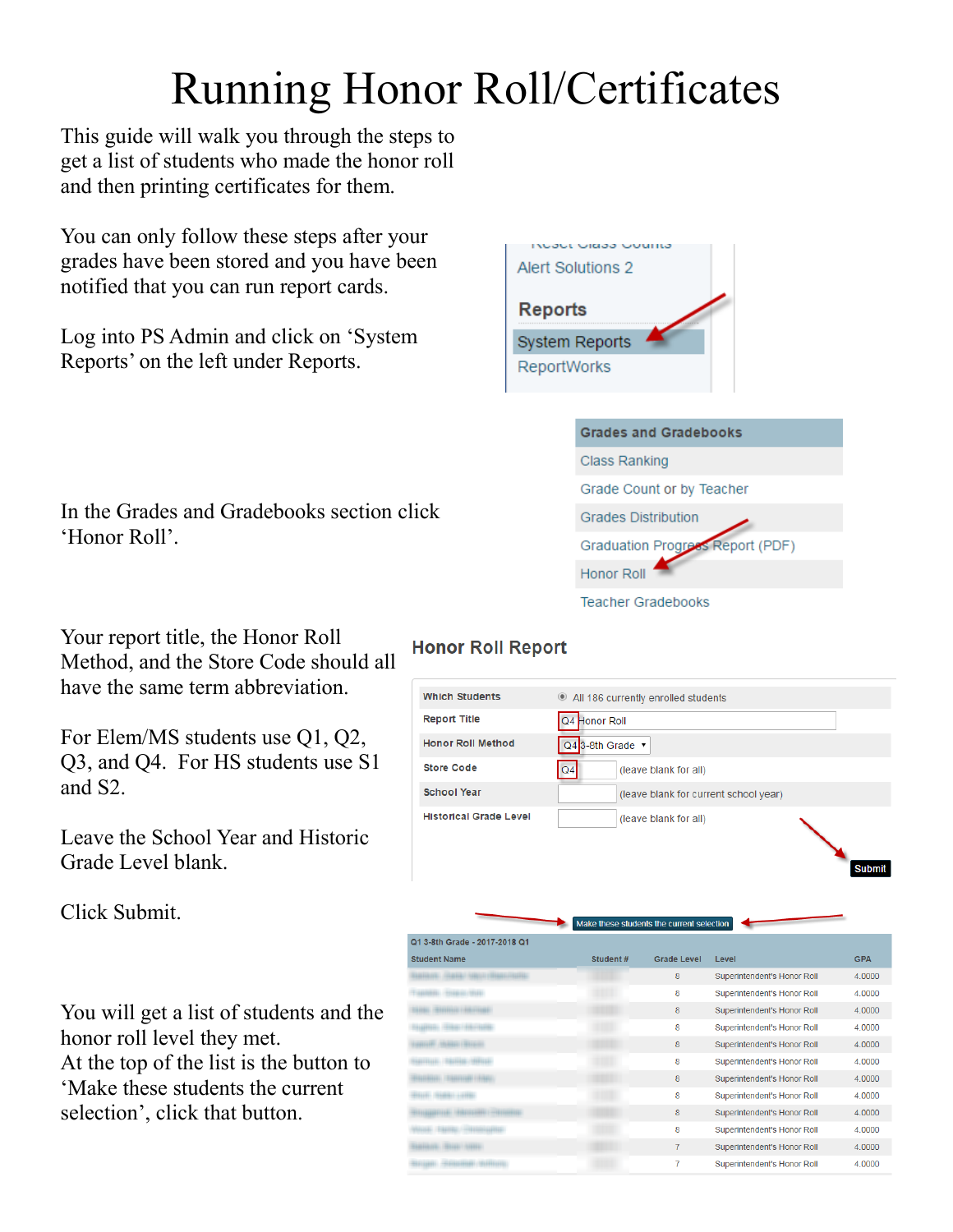# Running Honor Roll/Certificates

This guide will walk you through the steps to get a list of students who made the honor roll and then printing certificates for them.

You can only follow these steps after your grades have been stored and you have been notified that you can run report cards.

Log into PS Admin and click on 'System Reports' on the left under Reports.

In the Grades and Gradebooks section click 'Honor Roll'.

Your report title, the Honor Roll Method, and the Store Code should all have the same term abbreviation.

For Elem/MS students use Q1, Q2, Q3, and Q4. For HS students use S1 and S2.

Leave the School Year and Historic Grade Level blank.

Click Submit.

You will get a list of students and the honor roll level they met. At the top of the list is the button to 'Make these students the current selection', click that button.



| <b>Grades and Gradebooks</b>     |  |
|----------------------------------|--|
| Class Ranking                    |  |
| Grade Count or by Teacher        |  |
| <b>Grades Distribution</b>       |  |
| Graduation Progress Report (PDF) |  |
| Honor Roll                       |  |
| <b>Teacher Gradebooks</b>        |  |

### **Honor Roll Report**

| <b>Which Students</b>         | All 186 currently enrolled students     |
|-------------------------------|-----------------------------------------|
| <b>Report Title</b>           | Q4 Honor Roll                           |
| <b>Honor Roll Method</b>      | Q4 3-8th Grade v                        |
| <b>Store Code</b>             | Q <sub>4</sub><br>(leave blank for all) |
| <b>School Year</b>            | (leave blank for current school year)   |
| <b>Historical Grade Level</b> | (leave blank for all)                   |

Submit